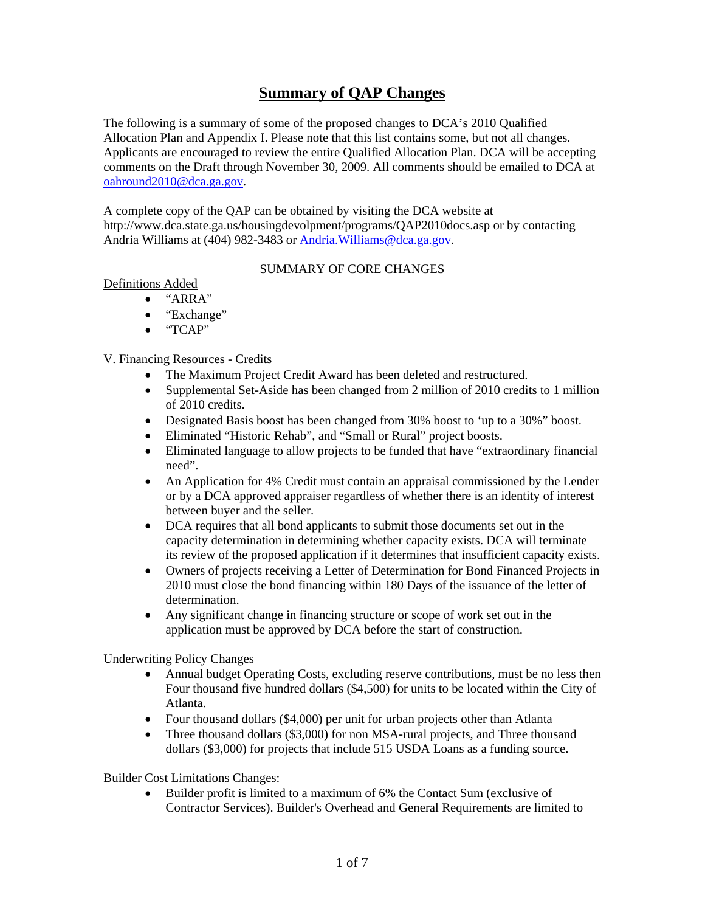# **Summary of QAP Changes**

The following is a summary of some of the proposed changes to DCA's 2010 Qualified Allocation Plan and Appendix I. Please note that this list contains some, but not all changes. Applicants are encouraged to review the entire Qualified Allocation Plan. DCA will be accepting comments on the Draft through November 30, 2009. All comments should be emailed to DCA at [oahround2010@dca.ga.gov](mailto:oahround2010@dca.state.ga.us).

A complete copy of the QAP can be obtained by visiting the DCA website at http://www.dca.state.ga.us/housingdevolpment/programs/QAP2010docs.asp or by contacting Andria Williams at (404) 982-3483 or Andria. Williams@dca.ga.gov.

#### SUMMARY OF CORE CHANGES

Definitions Added

- "ARRA"
	- "Exchange"
	- "TCAP"

#### V. Financing Resources - Credits

- The Maximum Project Credit Award has been deleted and restructured.
- Supplemental Set-Aside has been changed from 2 million of 2010 credits to 1 million of 2010 credits.
- Designated Basis boost has been changed from 30% boost to 'up to a 30%" boost.
- Eliminated "Historic Rehab", and "Small or Rural" project boosts.
- Eliminated language to allow projects to be funded that have "extraordinary financial need".
- An Application for 4% Credit must contain an appraisal commissioned by the Lender or by a DCA approved appraiser regardless of whether there is an identity of interest between buyer and the seller.
- DCA requires that all bond applicants to submit those documents set out in the capacity determination in determining whether capacity exists. DCA will terminate its review of the proposed application if it determines that insufficient capacity exists.
- Owners of projects receiving a Letter of Determination for Bond Financed Projects in 2010 must close the bond financing within 180 Days of the issuance of the letter of determination.
- Any significant change in financing structure or scope of work set out in the application must be approved by DCA before the start of construction.

#### Underwriting Policy Changes

- Annual budget Operating Costs, excluding reserve contributions, must be no less then Four thousand five hundred dollars (\$4,500) for units to be located within the City of Atlanta.
- Four thousand dollars (\$4,000) per unit for urban projects other than Atlanta
- Three thousand dollars (\$3,000) for non MSA-rural projects, and Three thousand dollars (\$3,000) for projects that include 515 USDA Loans as a funding source.

Builder Cost Limitations Changes:

• Builder profit is limited to a maximum of 6% the Contact Sum (exclusive of Contractor Services). Builder's Overhead and General Requirements are limited to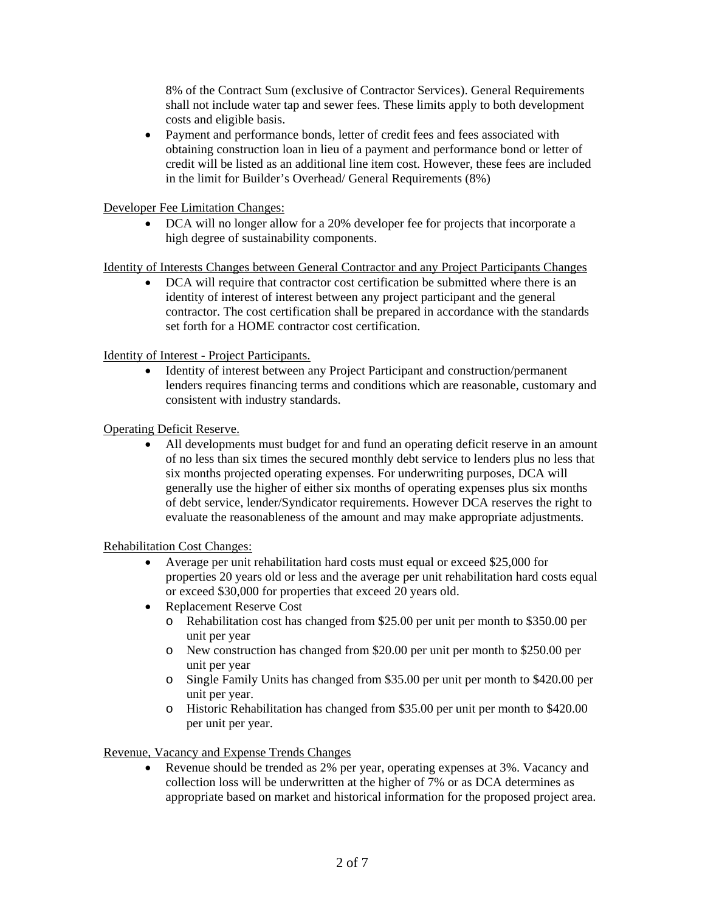8% of the Contract Sum (exclusive of Contractor Services). General Requirements shall not include water tap and sewer fees. These limits apply to both development costs and eligible basis.

• Payment and performance bonds, letter of credit fees and fees associated with obtaining construction loan in lieu of a payment and performance bond or letter of credit will be listed as an additional line item cost. However, these fees are included in the limit for Builder's Overhead/ General Requirements (8%)

#### Developer Fee Limitation Changes:

• DCA will no longer allow for a 20% developer fee for projects that incorporate a high degree of sustainability components.

#### Identity of Interests Changes between General Contractor and any Project Participants Changes

• DCA will require that contractor cost certification be submitted where there is an identity of interest of interest between any project participant and the general contractor. The cost certification shall be prepared in accordance with the standards set forth for a HOME contractor cost certification.

#### Identity of Interest - Project Participants.

• Identity of interest between any Project Participant and construction/permanent lenders requires financing terms and conditions which are reasonable, customary and consistent with industry standards.

# Operating Deficit Reserve.

• All developments must budget for and fund an operating deficit reserve in an amount of no less than six times the secured monthly debt service to lenders plus no less that six months projected operating expenses. For underwriting purposes, DCA will generally use the higher of either six months of operating expenses plus six months of debt service, lender/Syndicator requirements. However DCA reserves the right to evaluate the reasonableness of the amount and may make appropriate adjustments.

#### Rehabilitation Cost Changes:

- Average per unit rehabilitation hard costs must equal or exceed \$25,000 for properties 20 years old or less and the average per unit rehabilitation hard costs equal or exceed \$30,000 for properties that exceed 20 years old.
- Replacement Reserve Cost
	- o Rehabilitation cost has changed from \$25.00 per unit per month to \$350.00 per unit per year
	- o New construction has changed from \$20.00 per unit per month to \$250.00 per unit per year
	- o Single Family Units has changed from \$35.00 per unit per month to \$420.00 per unit per year.
	- o Historic Rehabilitation has changed from \$35.00 per unit per month to \$420.00 per unit per year.

#### Revenue, Vacancy and Expense Trends Changes

• Revenue should be trended as 2% per year, operating expenses at 3%. Vacancy and collection loss will be underwritten at the higher of 7% or as DCA determines as appropriate based on market and historical information for the proposed project area.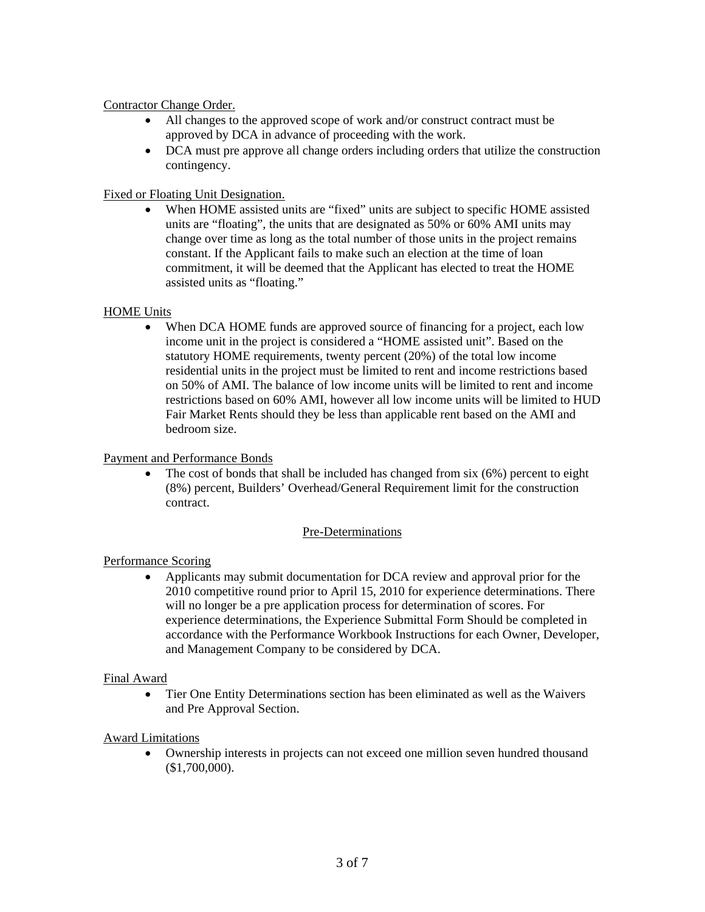#### Contractor Change Order.

- All changes to the approved scope of work and/or construct contract must be approved by DCA in advance of proceeding with the work.
- DCA must pre approve all change orders including orders that utilize the construction contingency.

# Fixed or Floating Unit Designation.

When HOME assisted units are "fixed" units are subject to specific HOME assisted units are "floating", the units that are designated as 50% or 60% AMI units may change over time as long as the total number of those units in the project remains constant. If the Applicant fails to make such an election at the time of loan commitment, it will be deemed that the Applicant has elected to treat the HOME assisted units as "floating."

#### HOME Units

When DCA HOME funds are approved source of financing for a project, each low income unit in the project is considered a "HOME assisted unit". Based on the statutory HOME requirements, twenty percent (20%) of the total low income residential units in the project must be limited to rent and income restrictions based on 50% of AMI. The balance of low income units will be limited to rent and income restrictions based on 60% AMI, however all low income units will be limited to HUD Fair Market Rents should they be less than applicable rent based on the AMI and bedroom size.

#### Payment and Performance Bonds

The cost of bonds that shall be included has changed from  $six(6%)$  percent to eight (8%) percent, Builders' Overhead/General Requirement limit for the construction contract.

#### Pre-Determinations

# Performance Scoring

• Applicants may submit documentation for DCA review and approval prior for the 2010 competitive round prior to April 15, 2010 for experience determinations. There will no longer be a pre application process for determination of scores. For experience determinations, the Experience Submittal Form Should be completed in accordance with the Performance Workbook Instructions for each Owner, Developer, and Management Company to be considered by DCA.

#### Final Award

• Tier One Entity Determinations section has been eliminated as well as the Waivers and Pre Approval Section.

#### Award Limitations

• Ownership interests in projects can not exceed one million seven hundred thousand (\$1,700,000).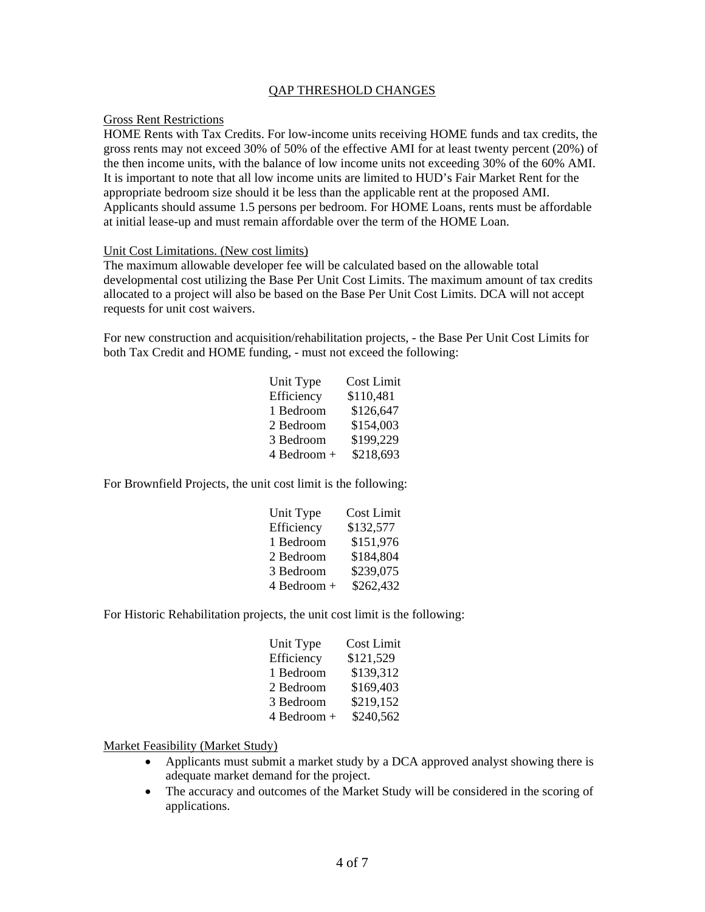#### QAP THRESHOLD CHANGES

#### Gross Rent Restrictions

HOME Rents with Tax Credits. For low-income units receiving HOME funds and tax credits, the gross rents may not exceed 30% of 50% of the effective AMI for at least twenty percent (20%) of the then income units, with the balance of low income units not exceeding 30% of the 60% AMI. It is important to note that all low income units are limited to HUD's Fair Market Rent for the appropriate bedroom size should it be less than the applicable rent at the proposed AMI. Applicants should assume 1.5 persons per bedroom. For HOME Loans, rents must be affordable at initial lease-up and must remain affordable over the term of the HOME Loan.

#### Unit Cost Limitations. (New cost limits)

The maximum allowable developer fee will be calculated based on the allowable total developmental cost utilizing the Base Per Unit Cost Limits. The maximum amount of tax credits allocated to a project will also be based on the Base Per Unit Cost Limits. DCA will not accept requests for unit cost waivers.

For new construction and acquisition/rehabilitation projects, - the Base Per Unit Cost Limits for both Tax Credit and HOME funding, - must not exceed the following:

| Unit Type   | Cost Limit |
|-------------|------------|
| Efficiency  | \$110,481  |
| 1 Bedroom   | \$126,647  |
| 2 Bedroom   | \$154,003  |
| 3 Bedroom   | \$199,229  |
| 4 Bedroom + | \$218,693  |

For Brownfield Projects, the unit cost limit is the following:

| Unit Type   | Cost Limit |
|-------------|------------|
| Efficiency  | \$132,577  |
| 1 Bedroom   | \$151,976  |
| 2 Bedroom   | \$184,804  |
| 3 Bedroom   | \$239,075  |
| 4 Bedroom + | \$262,432  |

For Historic Rehabilitation projects, the unit cost limit is the following:

| Unit Type   | Cost Limit |
|-------------|------------|
| Efficiency  | \$121,529  |
| 1 Bedroom   | \$139,312  |
| 2 Bedroom   | \$169,403  |
| 3 Bedroom   | \$219,152  |
| 4 Bedroom + | \$240,562  |

Market Feasibility (Market Study)

- Applicants must submit a market study by a DCA approved analyst showing there is adequate market demand for the project.
- The accuracy and outcomes of the Market Study will be considered in the scoring of applications.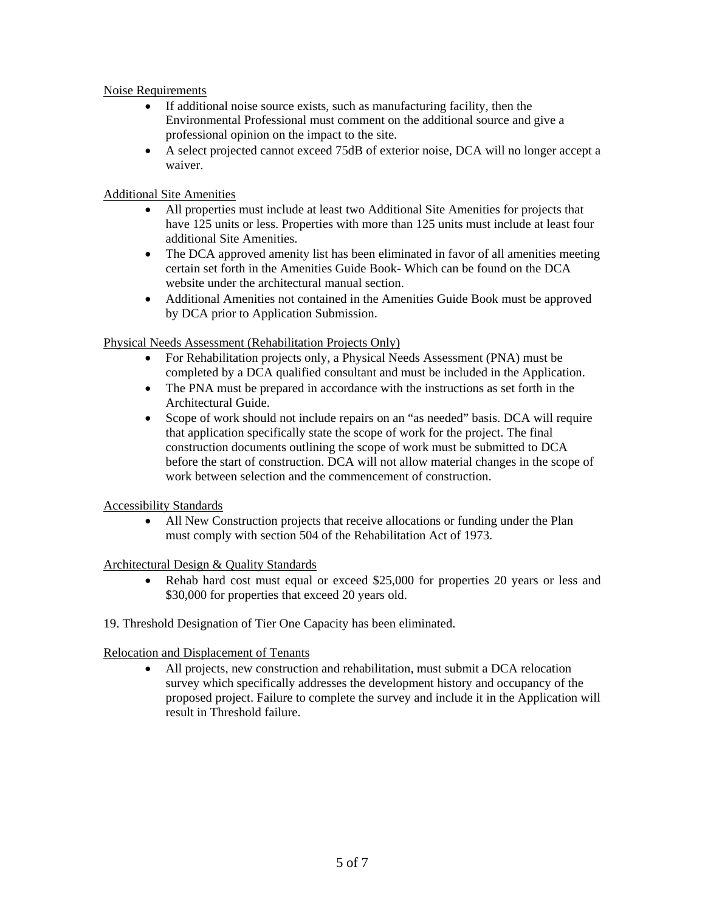#### Noise Requirements

- If additional noise source exists, such as manufacturing facility, then the Environmental Professional must comment on the additional source and give a professional opinion on the impact to the site.
- A select projected cannot exceed 75dB of exterior noise, DCA will no longer accept a waiver.

#### Additional Site Amenities

- All properties must include at least two Additional Site Amenities for projects that have 125 units or less. Properties with more than 125 units must include at least four additional Site Amenities.
- The DCA approved amenity list has been eliminated in favor of all amenities meeting certain set forth in the Amenities Guide Book- Which can be found on the DCA website under the architectural manual section.
- Additional Amenities not contained in the Amenities Guide Book must be approved by DCA prior to Application Submission.

#### Physical Needs Assessment (Rehabilitation Projects Only)

- For Rehabilitation projects only, a Physical Needs Assessment (PNA) must be completed by a DCA qualified consultant and must be included in the Application.
- The PNA must be prepared in accordance with the instructions as set forth in the Architectural Guide.
- Scope of work should not include repairs on an "as needed" basis. DCA will require that application specifically state the scope of work for the project. The final construction documents outlining the scope of work must be submitted to DCA before the start of construction. DCA will not allow material changes in the scope of work between selection and the commencement of construction.

#### Accessibility Standards

• All New Construction projects that receive allocations or funding under the Plan must comply with section 504 of the Rehabilitation Act of 1973.

#### Architectural Design & Quality Standards

- Rehab hard cost must equal or exceed \$25,000 for properties 20 years or less and \$30,000 for properties that exceed 20 years old.
- 19. Threshold Designation of Tier One Capacity has been eliminated.

#### Relocation and Displacement of Tenants

• All projects, new construction and rehabilitation, must submit a DCA relocation survey which specifically addresses the development history and occupancy of the proposed project. Failure to complete the survey and include it in the Application will result in Threshold failure.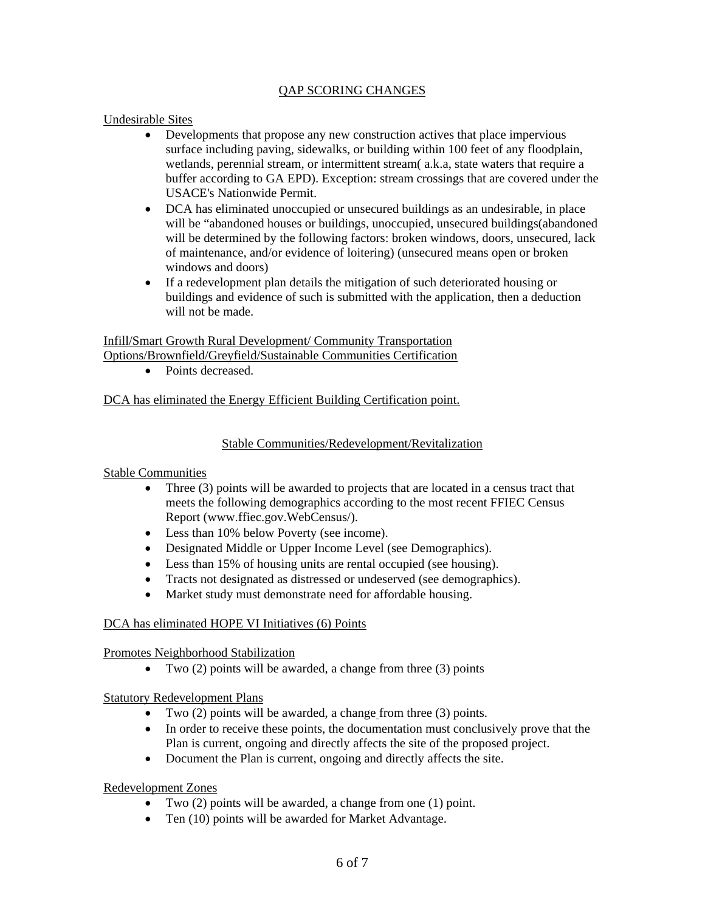#### QAP SCORING CHANGES

#### Undesirable Sites

- Developments that propose any new construction actives that place impervious surface including paving, sidewalks, or building within 100 feet of any floodplain, wetlands, perennial stream, or intermittent stream( a.k.a, state waters that require a buffer according to GA EPD). Exception: stream crossings that are covered under the USACE's Nationwide Permit.
- DCA has eliminated unoccupied or unsecured buildings as an undesirable, in place will be "abandoned houses or buildings, unoccupied, unsecured buildings(abandoned will be determined by the following factors: broken windows, doors, unsecured, lack of maintenance, and/or evidence of loitering) (unsecured means open or broken windows and doors)
- If a redevelopment plan details the mitigation of such deteriorated housing or buildings and evidence of such is submitted with the application, then a deduction will not be made.

#### Infill/Smart Growth Rural Development/ Community Transportation Options/Brownfield/Greyfield/Sustainable Communities Certification

• Points decreased.

# DCA has eliminated the Energy Efficient Building Certification point.

# Stable Communities/Redevelopment/Revitalization

# Stable Communities

- Three (3) points will be awarded to projects that are located in a census tract that meets the following demographics according to the most recent FFIEC Census Report (www.ffiec.gov.WebCensus/).
- Less than 10% below Poverty (see income).
- Designated Middle or Upper Income Level (see Demographics).
- Less than 15% of housing units are rental occupied (see housing).
- Tracts not designated as distressed or undeserved (see demographics).
- Market study must demonstrate need for affordable housing.

# DCA has eliminated HOPE VI Initiatives (6) Points

Promotes Neighborhood Stabilization

• Two  $(2)$  points will be awarded, a change from three  $(3)$  points

Statutory Redevelopment Plans

- Two (2) points will be awarded, a change from three (3) points.
- In order to receive these points, the documentation must conclusively prove that the Plan is current, ongoing and directly affects the site of the proposed project.
- Document the Plan is current, ongoing and directly affects the site.

# Redevelopment Zones

- Two (2) points will be awarded, a change from one (1) point.
- Ten (10) points will be awarded for Market Advantage.